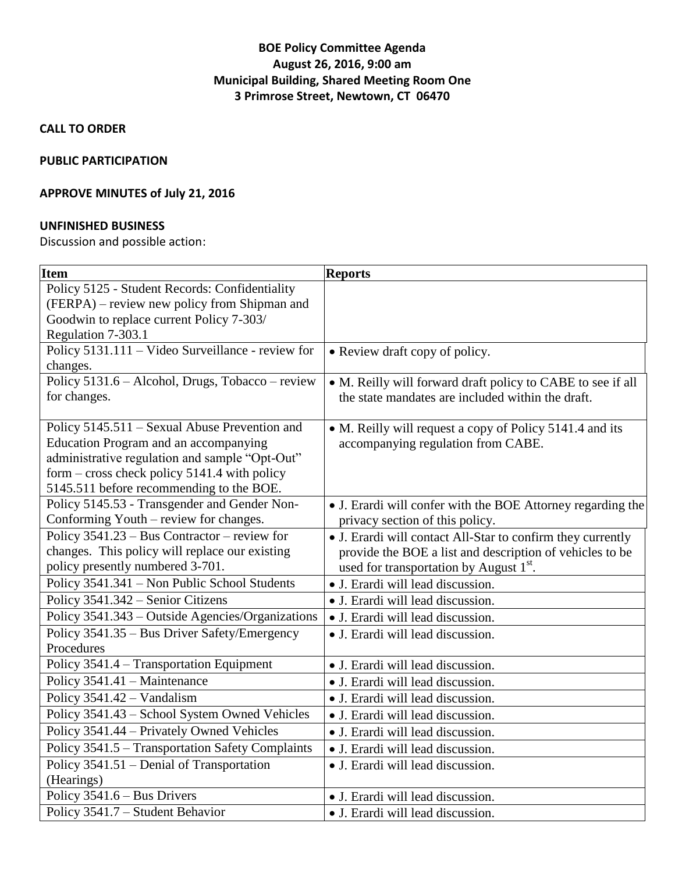# **BOE Policy Committee Agenda August 26, 2016, 9:00 am Municipal Building, Shared Meeting Room One 3 Primrose Street, Newtown, CT 06470**

**CALL TO ORDER**

# **PUBLIC PARTICIPATION**

# **APPROVE MINUTES of July 21, 2016**

# **UNFINISHED BUSINESS**

Discussion and possible action:

| <b>Item</b>                                       | <b>Reports</b>                                              |
|---------------------------------------------------|-------------------------------------------------------------|
| Policy 5125 - Student Records: Confidentiality    |                                                             |
| (FERPA) – review new policy from Shipman and      |                                                             |
| Goodwin to replace current Policy 7-303/          |                                                             |
| Regulation 7-303.1                                |                                                             |
| Policy 5131.111 - Video Surveillance - review for | • Review draft copy of policy.                              |
| changes.                                          |                                                             |
| Policy 5131.6 - Alcohol, Drugs, Tobacco - review  | • M. Reilly will forward draft policy to CABE to see if all |
| for changes.                                      | the state mandates are included within the draft.           |
| Policy 5145.511 - Sexual Abuse Prevention and     | • M. Reilly will request a copy of Policy 5141.4 and its    |
| <b>Education Program and an accompanying</b>      | accompanying regulation from CABE.                          |
| administrative regulation and sample "Opt-Out"    |                                                             |
| form – cross check policy 5141.4 with policy      |                                                             |
| 5145.511 before recommending to the BOE.          |                                                             |
| Policy 5145.53 - Transgender and Gender Non-      | • J. Erardi will confer with the BOE Attorney regarding the |
| Conforming Youth – review for changes.            | privacy section of this policy.                             |
| Policy $3541.23 - Bus$ Contractor – review for    | • J. Erardi will contact All-Star to confirm they currently |
| changes. This policy will replace our existing    | provide the BOE a list and description of vehicles to be    |
| policy presently numbered 3-701.                  | used for transportation by August 1 <sup>st</sup> .         |
| Policy 3541.341 - Non Public School Students      | • J. Erardi will lead discussion.                           |
| Policy 3541.342 - Senior Citizens                 | • J. Erardi will lead discussion.                           |
| Policy 3541.343 – Outside Agencies/Organizations  | · J. Erardi will lead discussion.                           |
| Policy 3541.35 – Bus Driver Safety/Emergency      | • J. Erardi will lead discussion.                           |
| Procedures                                        |                                                             |
| Policy 3541.4 - Transportation Equipment          | • J. Erardi will lead discussion.                           |
| Policy 3541.41 - Maintenance                      | • J. Erardi will lead discussion.                           |
| Policy 3541.42 - Vandalism                        | • J. Erardi will lead discussion.                           |
| Policy 3541.43 - School System Owned Vehicles     | • J. Erardi will lead discussion.                           |
| Policy 3541.44 - Privately Owned Vehicles         | • J. Erardi will lead discussion.                           |
| Policy 3541.5 - Transportation Safety Complaints  | • J. Erardi will lead discussion.                           |
| Policy 3541.51 – Denial of Transportation         | • J. Erardi will lead discussion.                           |
| (Hearings)                                        |                                                             |
| Policy 3541.6 - Bus Drivers                       | · J. Erardi will lead discussion.                           |
| Policy 3541.7 - Student Behavior                  | • J. Erardi will lead discussion.                           |